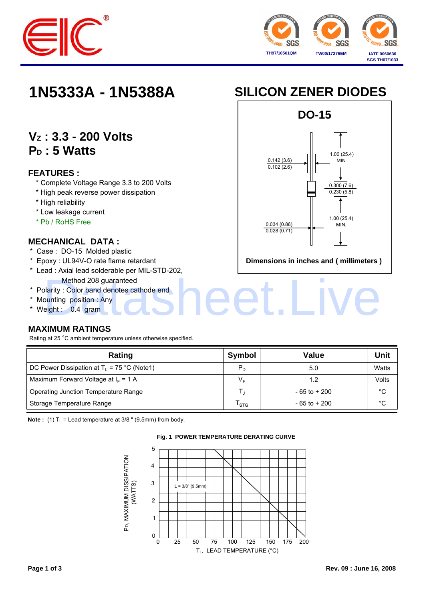



## **VZ : 3.3 - 200 Volts** P<sub>D</sub>: 5 Watts

#### **FEATURES :**

- \* Complete Voltage Range 3.3 to 200 Volts
- \* High peak reverse power dissipation
- \* High reliability
- \* Low leakage current
- \* Pb / RoHS Free

#### **MECHANICAL DATA :**

- \* Case : DO-15 Molded plastic
- \* Epoxy : UL94V-O rate flame retardant
- \* Lead : Axial lead solderable per MIL-STD-202, Method 208 guaranteed Method 208 guaranteed<br>plarity : Color band denotes cathode end<br>punting position : Any<br>eight : 0.4 gram
- \* Polarity : Color band denotes cathode end
- \* Mounting position : Any
- \* Weight : 0.4 gram

### **MAXIMUM RATINGS**

Rating at 25 °C ambient temperature unless otherwise specified.

| Rating                                        | Symbol  | <b>Value</b>    | Unit         |
|-----------------------------------------------|---------|-----------------|--------------|
| DC Power Dissipation at $T_1 = 75$ °C (Note1) | $P_D$   | 5.0             | Watts        |
| Maximum Forward Voltage at $I_F = 1$ A        | V⊧      | 1.2             | Volts        |
| Operating Junction Temperature Range          |         | $-65$ to $+200$ | $^{\circ}$ C |
| Storage Temperature Range                     | $'$ STG | $-65$ to $+200$ | °C           |

**Note :** (1)  $T_L$  = Lead temperature at 3/8 " (9.5mm) from body.



#### **Fig. 1 POWER TEMPERATURE DERATING CURVE**

# **1N5333A - 1N5388A SILICON ZENER DIODES**



**Dimensions in inches and ( millimeters )**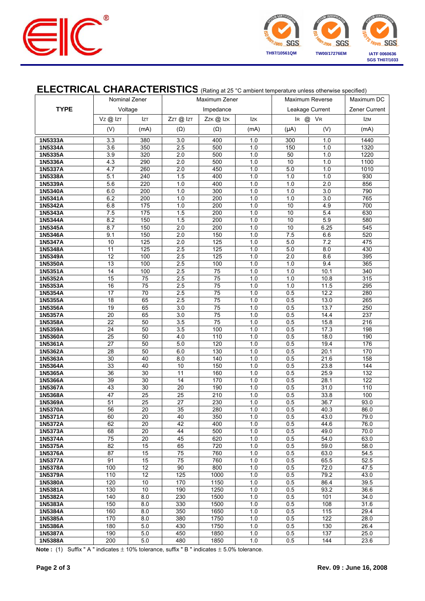



### **ELECTRICAL CHARACTERISTICS** (Rating at 25 °C ambient temperature unless otherwise specified)

|                                     |                 | Nominal Zener |            | Maximum Zener         |            |                            | Maximum Reverse | Maximum DC        |
|-------------------------------------|-----------------|---------------|------------|-----------------------|------------|----------------------------|-----------------|-------------------|
| <b>TYPE</b><br>Voltage<br>Impedance |                 |               |            | Zener Current         |            |                            |                 |                   |
|                                     | Vz@lzT          | <b>IzT</b>    | ZzT @ IzT  | Zzk@lzk               | <b>Izk</b> | Leakage Current<br>IR @ VR |                 | <b>IzM</b>        |
|                                     | (V)             | (mA)          | $(\Omega)$ | $(\Omega)$            | (mA)       | $(\mu A)$                  | (V)             | (mA)              |
|                                     | 3.3             | 380           | 3.0        | 400                   |            | 300                        | 1.0             | 1440              |
| 1N5333A<br>1N5334A                  | 3.6             | 350           | 2.5        | 500                   | 1.0<br>1.0 | 150                        | 1.0             | 1320              |
| 1N5335A                             | 3.9             | 320           | 2.0        | 500                   | 1.0        | 50                         | 1.0             | 1220              |
| 1N5336A                             | 4.3             | 290           | 2.0        | 500                   | 1.0        | 10                         | 1.0             | 1100              |
| 1N5337A                             | 4.7             | 260           | 2.0        | 450                   | 1.0        | 5.0                        | 1.0             | 1010              |
| 1N5338A                             | 5.1             | 240           | 1.5        | 400                   | 1.0        | 1.0                        | 1.0             | 930               |
| 1N5339A                             | 5.6             | 220           | 1.0        | 400                   | 1.0        | 1.0                        | 2.0             | 856               |
| 1N5340A                             | 6.0             | 200           | 1.0        | 300                   | 1.0        | 1.0                        | 3.0             | 790               |
| 1N5341A                             | 6.2             | 200           | 1.0        | 200                   | 1.0        | 1.0                        | 3.0             | 765               |
| 1N5342A<br>1N5343A                  | 6.8<br>7.5      | 175<br>175    | 1.0<br>1.5 | 200<br>200            | 1.0<br>1.0 | 10<br>10                   | 4.9<br>5.4      | 700<br>630        |
| 1N5344A                             | 8.2             | 150           | 1.5        | 200                   | 1.0        | 10                         | 5.9             | 580               |
| 1N5345A                             | 8.7             | 150           | 2.0        | 200                   | 1.0        | 10                         | 6.25            | 545               |
| 1N5346A                             | 9.1             | 150           | 2.0        | 150                   | 1.0        | 7.5                        | 6.6             | 520               |
| 1N5347A                             | 10              | 125           | 2.0        | 125                   | 1.0        | 5.0                        | 7.2             | 475               |
| 1N5348A                             | 11              | 125           | 2.5        | 125                   | 1.0        | 5.0                        | 8.0             | 430               |
| 1N5349A                             | 12              | 100           | 2.5        | 125                   | 1.0        | 2.0                        | 8.6             | 395               |
| 1N5350A                             | 13              | 100           | 2.5        | 100                   | 1.0        | 1.0                        | 9.4             | 365               |
| 1N5351A                             | 14              | 100           | 2.5        | $\overline{75}$       | 1.0        | 1.0                        | 10.1            | 340               |
| 1N5352A                             | 15              | 75            | 2.5        | 75                    | 1.0        | 1.0                        | 10.8            | 315               |
| 1N5353A<br>1N5354A                  | 16<br>17        | 75<br>70      | 2.5<br>2.5 | 75<br>$\overline{75}$ | 1.0<br>1.0 | 1.0<br>0.5                 | 11.5<br>12.2    | 295<br>280        |
| 1N5355A                             | $\overline{18}$ | 65            | 2.5        | $\overline{75}$       | 1.0        | 0.5                        | 13.0            | 265               |
| 1N5356A                             | 19              | 65            | 3.0        | 75                    | 1.0        | 0.5                        | 13.7            | 250               |
| 1N5357A                             | 20              | 65            | 3.0        | 75                    | 1.0        | 0.5                        | 14.4            | 237               |
| 1N5358A                             | 22              | 50            | 3.5        | 75                    | 1.0        | 0.5                        | 15.8            | 216               |
| 1N5359A                             | 24              | 50            | 3.5        | 100                   | 1.0        | 0.5                        | 17.3            | 198               |
| 1N5360A                             | $\overline{25}$ | 50            | 4.0        | 110                   | 1.0        | 0.5                        | 18.0            | 190               |
| 1N5361A                             | 27              | 50            | $5.0$      | 120                   | 1.0        | 0.5                        | 19.4            | 176               |
| 1N5362A                             | 28              | 50            | 6.0        | 130                   | 1.0        | 0.5                        | 20.1            | 170               |
| 1N5363A<br>1N5364A                  | 30<br>33        | 40<br>40      | 8.0<br>10  | 140<br>150            | 1.0<br>1.0 | 0.5<br>0.5                 | 21.6<br>23.8    | 158<br>144        |
| 1N5365A                             | 36              | 30            | 11         | 160                   | 1.0        | 0.5                        | 25.9            | $\overline{132}$  |
| 1N5366A                             | 39              | 30            | 14         | 170                   | 1.0        | 0.5                        | 28.1            | 122               |
| 1N5367A                             | 43              | 30            | 20         | 190                   | 1.0        | 0.5                        | 31.0            | $\frac{110}{110}$ |
| 1N5368A                             | 47              | 25            | 25         | 210                   | 1.0        | 0.5                        | 33.8            | 100               |
| 1N5369A                             | 51              | 25            | 27         | 230                   | 1.0        | 0.5                        | 36.7            | 93.0              |
| 1N5370A                             | 56              | 20            | 35         | 280                   | 1.0        | 0.5                        | 40.3            | 86.0              |
| 1N5371A                             | 60              | 20            | 40         | 350                   | 1.0        | 0.5                        | 43.0            | 79.0              |
| 1N5372A                             | 62              | 20            | 42         | 400                   | 1.0        | 0.5                        | 44.6            | 76.0              |
| 1N5373A<br>1N5374A                  | 68<br>75        | 20<br>20      | 44<br>45   | 500<br>620            | 1.0<br>1.0 | 0.5<br>0.5                 | 49.0<br>54.0    | 70.0<br>63.0      |
| 1N5375A                             | 82              | 15            | 65         | 720                   | 1.0        | 0.5                        | 59.0            | 58.0              |
| 1N5376A                             | 87              | 15            | 75         | 760                   | 1.0        | 0.5                        | 63.0            | 54.5              |
| 1N5377A                             | 91              | 15            | 75         | 760                   | 1.0        | 0.5                        | 65.5            | 52.5              |
| 1N5378A                             | 100             | 12            | 90         | 800                   | 1.0        | 0.5                        | 72.0            | 47.5              |
| 1N5379A                             | 110             | 12            | 125        | 1000                  | 1.0        | 0.5                        | 79.2            | 43.0              |
| 1N5380A                             | 120             | 10            | 170        | 1150                  | 1.0        | 0.5                        | 86.4            | 39.5              |
| 1N5381A                             | 130             | 10            | 190        | 1250                  | 1.0        | 0.5                        | 93.2            | 36.6              |
| 1N5382A                             | 140             | 8.0           | 230        | 1500                  | 1.0        | 0.5                        | 101             | 34.0              |
| 1N5383A                             | 150<br>160      | 8.0<br>8.0    | 330<br>350 | 1500<br>1650          | 1.0        | 0.5<br>0.5                 | 108<br>115      | 31.6<br>29.4      |
| 1N5384A<br>1N5385A                  | 170             | 8.0           | 380        | 1750                  | 1.0<br>1.0 | 0.5                        | 122             | 28.0              |
| 1N5386A                             | 180             | 5.0           | 430        | 1750                  | 1.0        | 0.5                        | 130             | 26.4              |
| 1N5387A                             | 190             | 5.0           | 450        | 1850                  | 1.0        | 0.5                        | 137             | 25.0              |
| 1N5388A                             | 200             | 5.0           | 480        | 1850                  | 1.0        | 0.5                        | 144             | 23.6              |

**Note :** (1) Suffix " A " indicates  $\pm$  10% tolerance, suffix " B " indicates  $\pm$  5.0% tolerance.